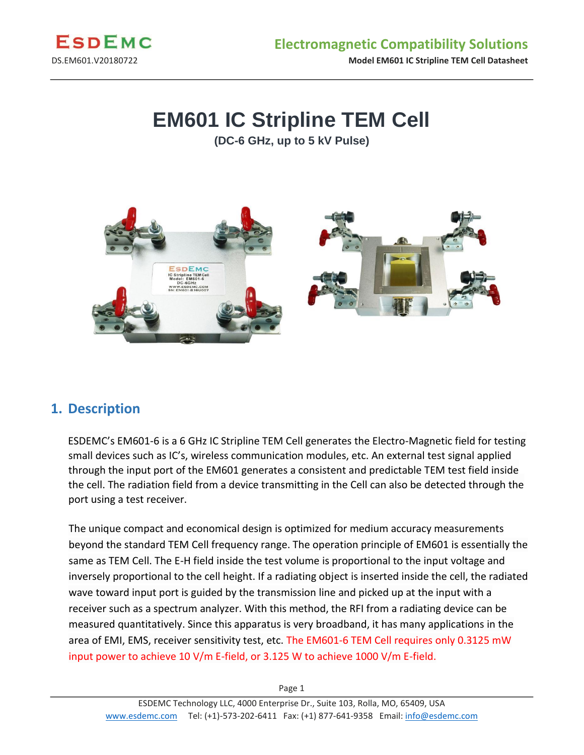

DS.EM601.V20180722 **Model EM601 IC Stripline TEM Cell Datasheet** 

# **EM601 IC Stripline TEM Cell**

**(DC-6 GHz, up to 5 kV Pulse)** 



#### **1. Description**

ESDEMC's EM601-6 is a 6 GHz IC Stripline TEM Cell generates the Electro-Magnetic field for testing small devices such as IC's, wireless communication modules, etc. An external test signal applied through the input port of the EM601 generates a consistent and predictable TEM test field inside the cell. The radiation field from a device transmitting in the Cell can also be detected through the port using a test receiver.

The unique compact and economical design is optimized for medium accuracy measurements beyond the standard TEM Cell frequency range. The operation principle of EM601 is essentially the same as TEM Cell. The E-H field inside the test volume is proportional to the input voltage and inversely proportional to the cell height. If a radiating object is inserted inside the cell, the radiated wave toward input port is guided by the transmission line and picked up at the input with a receiver such as a spectrum analyzer. With this method, the RFI from a radiating device can be measured quantitatively. Since this apparatus is very broadband, it has many applications in the area of EMI, EMS, receiver sensitivity test, etc. The EM601-6 TEM Cell requires only 0.3125 mW input power to achieve 10 V/m E-field, or 3.125 W to achieve 1000 V/m E-field.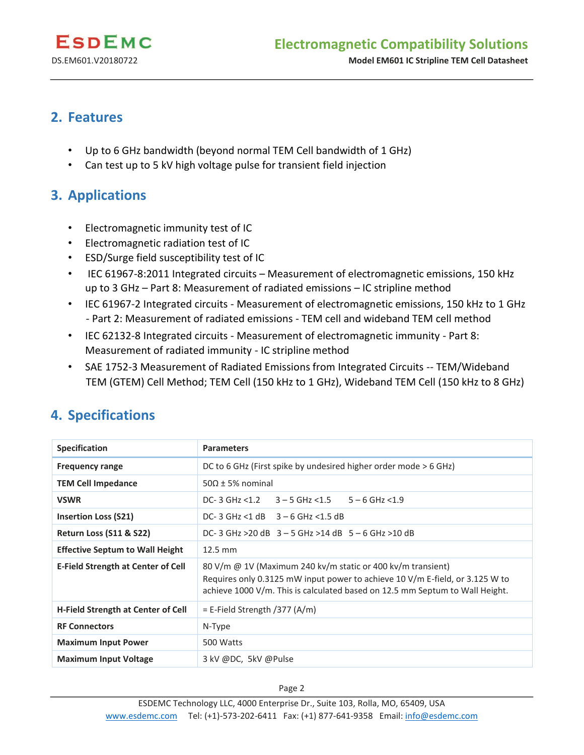DS.EM601.V20180722 **Model EM601 IC Stripline TEM Cell Datasheet** 

### **2. Features**

- Up to 6 GHz bandwidth (beyond normal TEM Cell bandwidth of 1 GHz)
- Can test up to 5 kV high voltage pulse for transient field injection

## **3. Applications**

- Electromagnetic immunity test of IC
- Electromagnetic radiation test of IC
- ESD/Surge field susceptibility test of IC
- IEC 61967-8:2011 Integrated circuits Measurement of electromagnetic emissions, 150 kHz up to 3 GHz – Part 8: Measurement of radiated emissions – IC stripline method
- IEC 61967-2 Integrated circuits Measurement of electromagnetic emissions, 150 kHz to 1 GHz - Part 2: Measurement of radiated emissions - TEM cell and wideband TEM cell method
- IEC 62132-8 Integrated circuits Measurement of electromagnetic immunity Part 8: Measurement of radiated immunity - IC stripline method
- SAE 1752-3 Measurement of Radiated Emissions from Integrated Circuits -- TEM/Wideband TEM (GTEM) Cell Method; TEM Cell (150 kHz to 1 GHz), Wideband TEM Cell (150 kHz to 8 GHz)

# **4. Specifications**

| <b>Specification</b>                      | <b>Parameters</b>                                                                                                                                                                                                           |  |  |
|-------------------------------------------|-----------------------------------------------------------------------------------------------------------------------------------------------------------------------------------------------------------------------------|--|--|
| <b>Frequency range</b>                    | DC to 6 GHz (First spike by undesired higher order mode $>$ 6 GHz)                                                                                                                                                          |  |  |
| <b>TEM Cell Impedance</b>                 | $50\Omega \pm 5\%$ nominal                                                                                                                                                                                                  |  |  |
| <b>VSWR</b>                               | DC-3 GHz $< 1.2$ 3 – 5 GHz $< 1.5$<br>$5 - 6$ GHz <1.9                                                                                                                                                                      |  |  |
| <b>Insertion Loss (S21)</b>               | DC-3 GHz <1 dB $3-6$ GHz <1.5 dB                                                                                                                                                                                            |  |  |
| <b>Return Loss (S11 &amp; S22)</b>        | DC-3 GHz > 20 dB $3 - 5$ GHz > 14 dB $5 - 6$ GHz > 10 dB                                                                                                                                                                    |  |  |
| <b>Effective Septum to Wall Height</b>    | 12.5 mm                                                                                                                                                                                                                     |  |  |
| <b>E-Field Strength at Center of Cell</b> | 80 V/m @ 1V (Maximum 240 kv/m static or 400 kv/m transient)<br>Requires only 0.3125 mW input power to achieve 10 V/m E-field, or 3.125 W to<br>achieve 1000 V/m. This is calculated based on 12.5 mm Septum to Wall Height. |  |  |
| H-Field Strength at Center of Cell        | $=$ E-Field Strength $/377$ (A/m)                                                                                                                                                                                           |  |  |
| <b>RF Connectors</b>                      | N-Type                                                                                                                                                                                                                      |  |  |
| <b>Maximum Input Power</b>                | 500 Watts                                                                                                                                                                                                                   |  |  |
| <b>Maximum Input Voltage</b>              | 3 kV @DC, 5kV @Pulse                                                                                                                                                                                                        |  |  |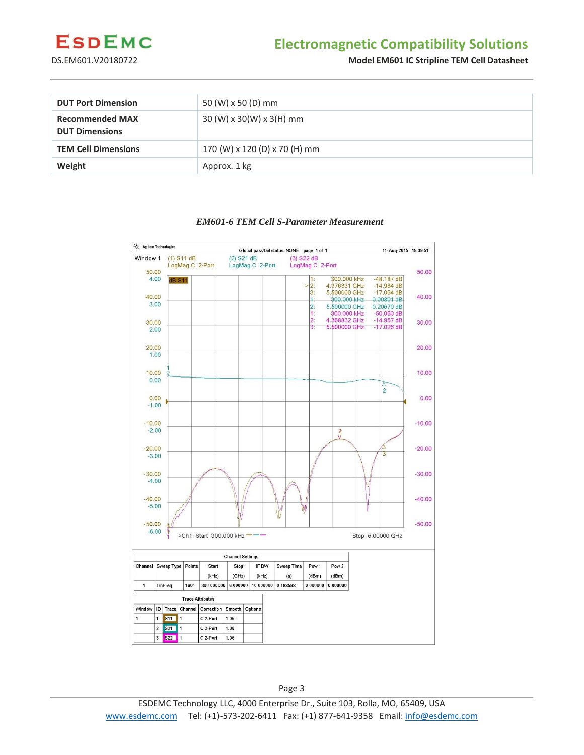

### **Electromagnetic Compatibility Solutions**

DS.EM601.V20180722 **Model EM601 IC Stripline TEM Cell Datasheet** 

| <b>DUT Port Dimension</b>                       | 50 (W) x 50 (D) mm                   |
|-------------------------------------------------|--------------------------------------|
| <b>Recommended MAX</b><br><b>DUT Dimensions</b> | $30 (W) \times 30(W) \times 3(H)$ mm |
| <b>TEM Cell Dimensions</b>                      | 170 (W) x 120 (D) x 70 (H) mm        |
| Weight                                          | Approx. 1 kg                         |

#### *EM601-6 TEM Cell S-Parameter Measurement*



Page 3